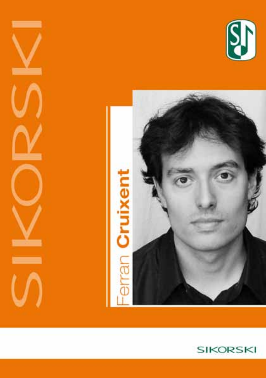





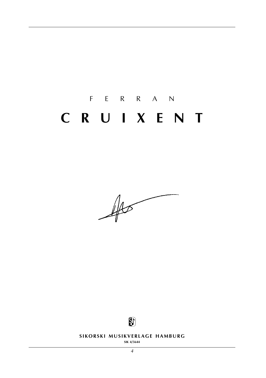# f e r r a n **c r u i x e n t**

 $\frac{1}{\sqrt{2\pi}}$ 



**SIKORSKI MUSIKVERLAGE HAMBURG** 

**sik 4/5644**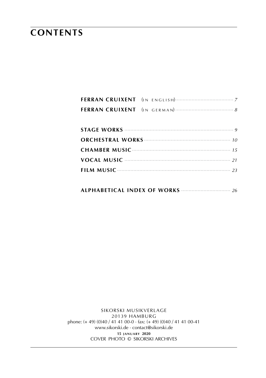## **contents**

|--|--|--|--|--|--|--|

sikorski Musikverlage 20139 hamburg phone: (+ 49) (0)40 / 41 41 00-0 · fax: (+ 49) (0)40 / 41 41 00-41 www.sikorski.de · contact@sikorski.de **15 j a n u a ry 2020** cover photo © sikorski archives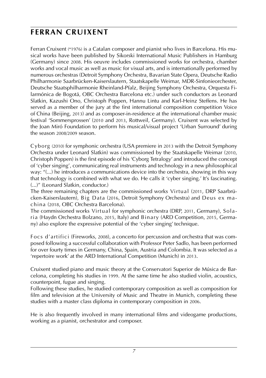### **ferran cruixent**

Ferran Cruixent (\*1976) is a Catalan composer and pianist who lives in Barcelona. His musical works have been published by Sikorski International Music Publishers in Hamburg (Germany) since 2008. His oeuvre includes commissioned works for orchestra, chamber works and vocal music as well as music for visual arts, and is internationally performed by numerous orchestras (Detroit Symphony Orchestra, Bavarian State Opera, Deutsche Radio Philharmonie Saarbrücken-Kaiserslautern, Staatskapelle Weimar, MDR-Sinfonieorchester, Deutsche Staatsphilharmonie Rheinland-Pfalz, Beijing Symphony Orchestra, Orquesta Filarmónica de Bogotá, OBC Orchestra Barcelona etc.) under such conductors as Leonard Slatkin, Kazushi Ono, Christoph Poppen, Hannu Lintu and Karl-Heinz Steffens. He has served as a member of the jury at the first international composition competition Voice of China (Beijing, 2013) and as composer-in-residence at the international chamber music festival 'Sommersprossen' (2010 and 2013, Rottweil, Germany). Cruixent was selected by the Joan Miró Foundation to perform his musical/visual project 'Urban Surround' during the season 2008/2009 season.

Cyborg (2010) for symphonic orchestra (USA premiere in 2013 with the Detroit Symphony Orchestra under Leonard Slatkin) was commissioned by the Staatskapelle Weimar (2010, Christoph Poppen) is the first episode of his 'Cyborg Tetralogy' and introduced the concept of 'cyber singing', communicating real instruments and technology in a new philosophical way: "(...) he introduces a communications device into the orchestra, showing in this way that technology is combined with what we do. He calls it 'cyber singing.' It's fascinating. (...)" (Leonard Slatkin, conductor.)

The three remaining chapters are the commissioned works Virtual (2011, DRP Saarbrücken-Kaiserslautern), Big Data (2016, Detroit Symphony Orchestra) and Deus ex machina (2018, OBC Orchestra Barcelona).

The commissioned works Virtual for symphonic orchestra (DRP, 2011, Germany), Solaria (Haydn Orchestra Bolzano, 2015, Italy) and Binary (ARD Competition, 2015, Germany) also explore the expressive potential of the 'cyber singing' technique.

Focs d'artifici (Fireworks, 2008), a concerto for percussion and orchestra that was composed following a successful collaboration with Professor Peter Sadlo, has been performed for over fourty times in Germany, China, Spain, Austria and Colombia. It was selected as a 'repertoire work' at the ARD International Competition (Munich) in 2013.

Cruixent studied piano and music theory at the Conservatori Superior de Música de Barcelona, completing his studies in 1999. At the same time he also studied violin, acoustics, counterpoint, fugue and singing.

Following these studies, he studied contemporary composition as well as composition for film and television at the University of Music and Theatre in Munich, completing these studies with a master class diploma in contemporary composition in 2006.

He is also frequently involved in many international films and videogame productions, working as a pianist, orchestrator and composer.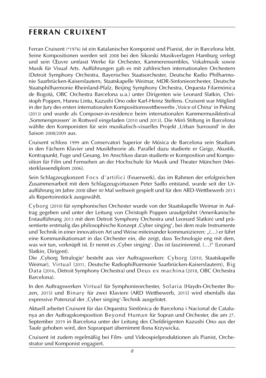### **ferran cruixent**

Ferran Cruixent (\*1976) ist ein Katalanischer Komponist und Pianist, der in Barcelona lebt. Seine Kompositionen werden seit 2008 bei den Sikorski Musikverlagen Hamburg verlegt und sein Œuvre umfasst Werke für Orchester, Kammerensembles, Vokalmusik sowie Musik für Visual Arts. Aufführungen gab es mit zahlreichen internationalen Orchestern (Detroit Symphony Orchestra, Bayerisches Staatsorchester, Deutsche Radio Philharmonie Saarbrücken-Kaiserslautern, Staatskapelle Weimar, MDR-Sinfonieorchester, Deutsche Staatsphilharmonie Rheinland-Pfalz, Beijing Symphony Orchestra, Orquesta Filarmónica de Bogotá, OBC Orchestra Barcelona u.a.) unter Dirigenten wie Leonard Slatkin, Christoph Poppen, Hannu Lintu, Kazushi Ono oder Karl-Heinz Steffens. Cruixent war Mitglied in der Jury des ersten internationalen Kompositionswettbewerbs ,Voice of China' in Peking (2013) und wurde als Composer-in-residence beim internationalen Kammermusikfestival ,Sommersprossen' in Rottweil eingeladen (2010 und 2013). Die Miró Stiftung in Barcelona wählte den Komponisten für sein musikalisch-visuelles Projekt ,Urban Surround' in der Saison 2008/2009 aus.

Cruixent schloss 1999 am Conservatori Superior de Música de Barcelona sein Studium in den Fächern Klavier und Musiktheorie ab. Parallel dazu studierte er Geige, Akustik, Kontrapunkt, Fuge und Gesang. Im Anschluss daran studierte er Komposition und Komposition für Film und Fernsehen an der Hochschule für Musik und Theater München (Meisterklassendiplom 2006).

Sein Schlagzeugkonzert Focs d'artifici (Feuerwerk), das im Rahmen der erfolgreichen Zusammenarbeit mit dem Schlagzeugvirtuosen Peter Sadlo entstand, wurde seit der Uraufführung im Jahre 2008 über 40 Mal weltweit gespielt und für den ARD-Wettbewerb 2013 als Repertoirestück ausgewählt.

Cyborg (2010) für symphonisches Orchester wurde von der Staatskapelle Weimar in Auftrag gegeben und unter der Leitung von Christoph Poppen uraufgeführt (Amerikanische Erstaufführung 2013 mit dem Detroit Symphony Orchestra und Leonard Slatkin) und präsentierte erstmalig das philosophische Konzept ,Cyber singing', bei dem reale Instrumente und Technik in einer innovativen Art und Weise miteinander kommunizieren: "(...) er führt eine Kommunikationsart in das Orchester ein, die zeigt, dass Technologie eng mit dem, was wir tun, verknüpft ist. Er nennt es ,Cyber singing'. Das ist faszinierend. (…)" (Leonard Slatkin, Dirigent).

Die ,Cyborg Tetralogie' besteht aus vier Auftragswerken: Cyborg (2010, Staatskapelle Weimar), Virtual (2011, Deutsche Radiophilharmonie Saarbrücken-Kaiserslautern), Big Data (2016, Detroit Symphony Orchestra) und Deus ex machina (2018, OBC Orchestra Barcelona).

In den Auftragswerken Virtual für Symphonieorchester, Solaria (Haydn-Orchester Bozen, 2015) und Binary für zwei Klaviere (ARD Wettbewerb, 2015) wird ebenfalls das expressive Potenzial der ,Cyber singing'-Technik ausgelotet.

Aktuell arbeitet Cruixent für das Orquestra Simfònica de Barcelona i Nacional de Catalunya an der Auftragskomposition Beyond Human für Sopran und Orchester, die am 27. September 2019 in Barcelona unter der Leitung des Chefdirigenten Kazushi Ono aus der Taufe gehoben wird, den Sopranpart übernimmt Ilona Krzywicka.

Cruixent ist zudem regelmäßig bei Film- und Videospielproduktionen als Pianist, Orchestrator und Komponist engagiert.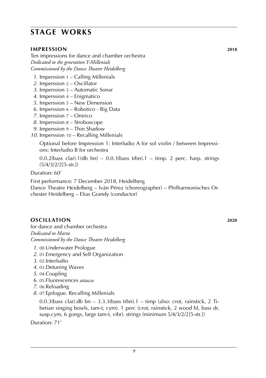### **stage works**

#### **impression 2018**

Ten impressions for dance and chamber orchestra *Dedicated to the generation Y-Millenials Commissioned by the Dance Theatre Heidelberg*

- *1*. Imperssion 1 Calling Millenials
- *2*. Imperssion 2 Oscillator
- *3*. Imperssion 3 Automatic Sonar
- *4*. Imperssion 4 Enigmatico
- *5*. Imperssion 5 New Dimension
- *6*. Imperssion 6 Robotico Big Data
- *7*. Imperssion 7 Onirico
- *8*. Imperssion 8 Stroboscope
- *9*. Imperssion 9 Thin Shadow
- *10*. Imperssion 10 Recalling Millenials

 Optional before Impression 1: Interludio A for sol violin / between Impressi ons: Interludio B for orchestra

 $0.0.2$ (bass clar).1(db bn) –  $0.0.3$ (bass trbn).1 – timp. 2 perc. harp. strings  $(5/4/3/2/2[5-str.])$ 

Duration: 60'

First performance: 7 December 2018, Heidelberg

Dance Theatre Heidelberg – Iván Pérez (choreographer) – Philharmonisches Orchester Heidelberg – Elias Grandy (conductor)

#### **oscillation 2020**

for dance and chamber orchestra *Dedicated to Marta Commissioned by the Dance Theatre Heidelberg*

- *1*. 00.Underwater Prologue
- *2*. 01.Emergency and Self Organization
- *3*. 02.Interludio
- *4*. 03.Detuning Waves
- *5*. 04.Coupling
- *6*. 05.Fluorescences *attacca*
- *7*. 06.Reloading
- *8*. 07.Epilogue. Recalling Millenials

0.0.3(bass clar).db bn  $-$  3.3.3(bass trbn).1 – timp (also: crot, rainstick, 2 Tibetian singing bowls, tam-t, cym). 1 perc (crot, rainstick, 2 wood bl, bass dr, susp.cym, 6 gongs, large tam-t, vibr). strings (minimum 5/4/3/2/2[5-str.])

Duration: 71'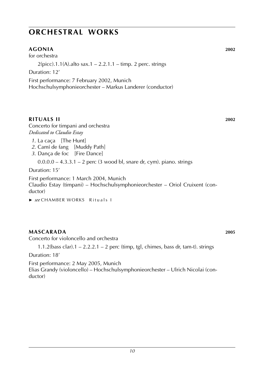#### **agonia 2002**

for orchestra

 $2(picc).1.1(A).$ alto sax. $1 - 2.2.1.1 - timp.$  2 perc. strings

Duration: 12'

First performance: 7 February 2002, Munich Hochschulsymphonieorchester – Markus Landerer (conductor)

#### **Rituals II 2002**

Concerto for timpani and orchestra *Dedicated to Claudio Estay*

- *1*. La caça [The Hunt]
- *2*. Camí de fang [Muddy Path]
- 3. Dança de foc [Fire Dance]

0.0.0.0 – 4.3.3.1 – 2 perc (3 wood bl, snare dr, cym). piano. strings

Duration: 15'

First performance: 1 March 2004, Munich Claudio Estay (timpani) – Hochschulsymphonieorchester – Oriol Cruixent (conductor)

► see CHAMBER WORKS Rituals I

#### **mascarada 2005**

Concerto for violoncello and orchestra

1.1.2(bass clar). $1 - 2.2.2.1 - 2$  perc (timp, tgl, chimes, bass dr, tam-t). strings

Duration: 18'

First performance: 2 May 2005, Munich Elias Grandy (violoncello) – Hochschulsymphonieorchester – Ulrich Nicolai (conductor)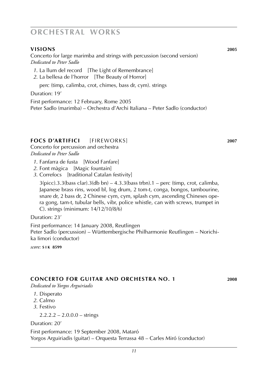#### **visions 2005**

Concerto for large marimba and strings with percussion (second version) *Dedicated to Peter Sadlo*

- *1*. La llum del record [The Light of Remembrance]
- *2*. La bellesa de l'horror [The Beauty of Horror]

perc (timp, calimba, crot, chimes, bass dr, cym). strings

Duration: 19'

First performance: 12 February, Rome 2005 Peter Sadlo (marimba) – Orchestra d'Archi Italiana – Peter Sadlo (conductor)

#### **focs d'artifici** [fireworks] **2007**

Concerto for percussion and orchestra *Dedicated to Peter Sadlo*

- *1*. Fanfarra de fusta [Wood Fanfare]
- *2*. Font màgica [Magic fountain]
- *3*. Correfocs [traditional Catalan festivity]

 $3(pice).3.3(bass clar).3(db bn) - 4.3.3(bass trbn).1 - perc (timp, crot, calimba,$ Japanese brass rins, wood bl, log drum, 2 tom-t, conga, bongos, tambourine, snare dr, 2 bass dr, 2 Chinese cym, cym, splash cym, ascending Chineses opera gong, tam-t, tubular bells, vibr, police whistle, can with screws, trumpet in C). strings (minimum: 14/12/10/8/6)

Duration: 23'

First performance: 14 January 2008, Reutlingen Peter Sadlo (percussion) – Württembergische Philharmonie Reutlingen – Norichika Iimori (conductor)

*score:* **s i k 8599**

#### **concerto for guitar and orchestra no. 1 2008**

*Dedicated to Yorgos Arguiriadis*

- *1*. Disperato
- *2*. Calmo
- *3*. Festivo

 $2.2.2.2 - 2.0.0.0 -$  strings

Duration: 20'

First performance: 19 September 2008, Mataró Yorgos Arguiriadis (guitar) – Orquesta Terrassa 48 – Carles Miró (conductor)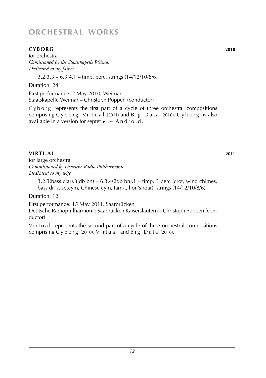#### **cyborg 2010 cyborg 2010 2010**

for orchestra *Comissioned by the Staatskapelle Weimar Dedicated to my father*

 $3.2.3.3 - 6.3.4.1 -$  timp. perc. strings  $(14/12/10/8/6)$ 

Duration: 24'

First performance: 2 May 2010, Weimar Staatskapelle Weimar – Christoph Poppen (conductor)

 $Cy$  b  $org$  represents the first part of a cycle of three orchestral compositions comprising  $Cyborg$ , Virtual (2011) and  $Big$  Data (2016). Cyborg is also available in a version for septet ► *see* A n d r o i d .

#### **virtual** 2011

for large orchestra *Commissioned by Deutsche Radio Philharmonie Dedicated to my wife*

 $3.2.3$ (bass clar). $3$ (db bn) –  $6.3.4$ (2db bn). $1 -$ timp. 3 perc (crot, wind chimes, bass dr, susp.cym, Chinese cym, tam-t, lion's roar). strings (14/12/10/8/6)

Duration: 12'

First performance: 15 May 2011, Saarbrücken

Deutsche Radiophilharmonie Saabrücken Kaiserslautern – Christoph Poppen (conductor)

Virtual represents the second part of a cycle of three orchestral compositions comprising  $Cyborg$  (2010),  $Virtual$  and  $Big$  D at a (2016).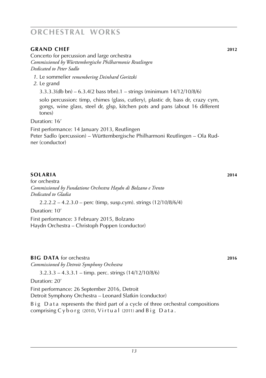#### **grand chef 2012**

Concerto for percussion and large orchestra *Commissioned by Württembergische Philharmonie Reutlingen Dedicated to Peter Sadlo*

- *1*. Le sommelier *remembering Deinhard Goritzki*
- *2*. Le grand

3.3.3.3(db bn) – 6.3.4(2 bass trbn).1 – strings (minimum 14/12/10/8/6)

solo percussion: timp, chimes (glass, cutlery), plastic dr, bass dr, crazy cym, gongs, wine glass, steel dr, glsp, kitchen pots and pans (about 16 different tones)

Duration: 16'

First performance: 14 January 2013, Reutlingen Peter Sadlo (percussion) – Württembergische Philharmoni Reutlingen – Ola Rudner (conductor)

#### **solaria 2014**

for orchestra *Commissioned by Fundatione Orchestra Haydn di Bolzano e Trento Dedicated to Gladia*

 $2.2.2.2 - 4.2.3.0 -$  perc (timp, susp.cym). strings  $(12/10/8/6/4)$ 

Duration: 10'

First performance: 3 February 2015, Bolzano Haydn Orchestra – Christoph Poppen (conductor)

#### **bigata for orchestra <b>2016 data 2016 2016**

*Commissioned by Detroit Symphony Orchestra*

3.2.3.3 – 4.3.3.1 – timp. perc. strings (14/12/10/8/6)

#### Duration: 20'

First performance: 26 September 2016, Detroit

Detroit Symphony Orchestra – Leonard Slatkin (conductor)

B i g D a t a represents the third part of a cycle of three orchestral compositions comprising  $Cyborg$  (2010), Virtual (2011) and  $BigD$  ig  $Data$ .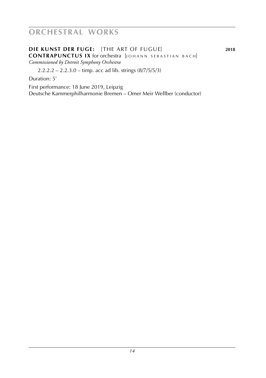**die kunst der fuge:** [the art of fugue] **2018 CONTRAPUNCTUS IX** for orchestra [JOHANN SEBASTIAN BACH] *Commissioned by Detroit Symphony Orchestra*

2.2.2.2 – 2.2.3.0 – timp. acc ad lib. strings (8/7/5/5/3)

Duration: 5'

First performance: 18 June 2019, Leipzig Deutsche Kammerphilharmonie Bremen – Omer Meir Wellber (conductor)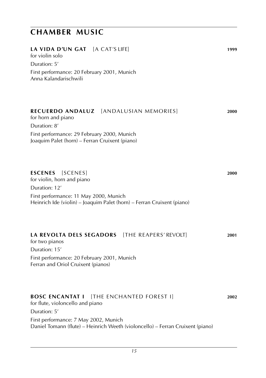| LA VIDA D'UN GAT [A CAT'S LIFE]<br>for violin solo<br>Duration: 5'                                                      | 1999 |
|-------------------------------------------------------------------------------------------------------------------------|------|
| First performance: 20 February 2001, Munich<br>Anna Kalandarischwili                                                    |      |
| RECUERDO ANDALUZ   [ANDALUSIAN MEMORIES]<br>for horn and piano<br>Duration: 8'                                          | 2000 |
| First performance: 29 February 2000, Munich<br>Joaquim Palet (horn) – Ferran Cruixent (piano)                           |      |
| <b>ESCENES</b> [SCENES]<br>for violin, horn and piano<br>Duration: 12'                                                  | 2000 |
| First performance: 11 May 2000, Munich<br>Heinrich Ide (violin) - Joaquim Palet (horn) - Ferran Cruixent (piano)        |      |
| LA REVOLTA DELS SEGADORS [THE REAPERS' REVOLT]<br>for two pianos<br>Duration: 15'                                       | 2001 |
| First performance: 20 February 2001, Munich<br>Ferran and Oriol Cruixent (pianos)                                       |      |
| <b>BOSC ENCANTAT I</b> [THE ENCHANTED FOREST I]<br>for flute, violoncello and piano<br>Duration: 5'                     | 2002 |
| First performance: 7 May 2002, Munich<br>Daniel Tomann (flute) - Heinrich Weeth (violoncello) - Ferran Cruixent (piano) |      |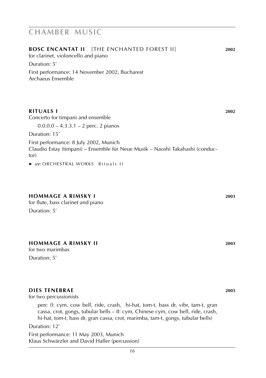| <b>BOSC ENCANTAT II</b> [THE ENCHANTED FOREST II]<br>for clarinet, violoncello and piano                                        | 2002 |
|---------------------------------------------------------------------------------------------------------------------------------|------|
| Duration: 5'                                                                                                                    |      |
| First performance: 14 November 2002, Bucharest<br>Archaeus Ensemble                                                             |      |
|                                                                                                                                 |      |
| <b>RITUALS I</b>                                                                                                                | 2002 |
| Concerto for timpani and ensemble                                                                                               |      |
| $0.0.0.0 - 4.3.3.1 - 2$ perc. 2 pianos                                                                                          |      |
| Duration: 15'                                                                                                                   |      |
| First performance: 8 July 2002, Munich<br>Claudio Estay (timpani) – Ensemble für Neue Musik – Naoshi Takahashi (conduc-<br>tor) |      |
| ▶ see: ORCHESTRAL WORKS Rituals II                                                                                              |      |

#### **hommage a rimsky I 2003**

for flute, bass clarinet and piano Duration: 5'

#### **hommage a rimsky II 2003**

for two marimbas

Duration: 5'

#### **dies tenebrae 2003**

for two percussionists

perc (I: cym, cow bell, ride, crash, hi-hat, tom-t, bass dr, vibr, tam-t, gran cassa, crot, gongs, tubular bells – II: cym, Chinese cym, cow bell, ride, crash, hi-hat, tom-t, bass dr, gran cassa, crot, marimba, tam-t, gongs, tubular bells)

#### Duration: 12'

First performance: 11 May 2003, Munich Klaus Schwärzler and David Haller (percussion)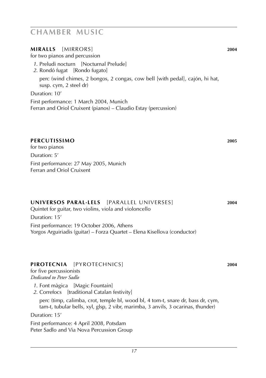#### **Miralls** [mirrors] **2004**

for two pianos and percussion

- *1*. Preludi nocturn [Nocturnal Prelude]
- *2*. Rondó fugat [Rondo fugato]

perc (wind chimes, 2 bongos, 2 congas, cow bell [with pedal], cajón, hi hat, susp. cym, 2 steel dr)

Duration: 10'

First performance: 1 March 2004, Munich Ferran and Oriol Cruixent (pianos) – Claudio Estay (percussion)

#### **percutissimo 2005**

for two pianos Duration: 5' First performance: 27 May 2005, Munich Ferran and Oriol Cruixent

#### **universos paral·lels** [parallel universes] **2004**

Quintet for guitar, two violins, viola and violoncello

Duration: 15'

First performance: 19 October 2006, Athens Yorgos Arguiriadis (guitar) – Forza Quartet – Elena Kisellova (conductor)

#### **pirotecnia** [pyrotechnics] **2004**

for five percussionists *Dedicated to Peter Sadlo*

*1*. Font màgica [Magic Fountain]

2. Correfocs [traditional Catalan festivity]

perc (timp, calimba, crot, temple bl, wood bl, 4 tom-t, snare dr, bass dr, cym, tam-t, tubular bells, xyl, glsp, 2 vibr, marimba, 3 anvils, 3 ocarinas, thunder)

Duration: 15'

First performance: 4 April 2008, Potsdam Peter Sadlo and Via Nova Percussion Group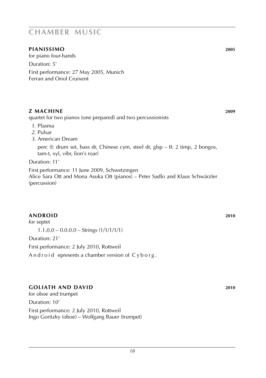#### **pianissimo 2005**

for piano four-hands

Duration: 5'

First performance: 27 May 2005, Munich Ferran and Oriol Cruixent

#### **z machine 2009**

quartet for two pianos (one prepared) and two percussionists

- *1*. Plasma
- *2*. Pulsar
- *3*. American Dream

perc (I: drum set, bass dr, Chinese cym, steel dr, glsp – II: 2 timp, 2 bongos, tam-t, xyl, vibr, lion's roar)

Duration: 11'

First performance: 11 June 2009, Schwetzingen Alice Sara Ott and Mona Asuka Ott (pianos) – Peter Sadlo and Klaus Schwärzler (percussion)

#### **android 2010**

for septet  $1.1.0.0 - 0.0.0.0 - 5$ trings  $(1/1/1/1/1)$ Duration: 21'

First performance: 2 July 2010, Rottweil

And roid epresents a chamber version of  $Cy$  b or g.

#### **goliath and david 2010**

for oboe and trumpet Duration: 10' First performance: 2 July 2010, Rottweil Ingo Goritzky (oboe) – Wolfgang Bauer (trumpet)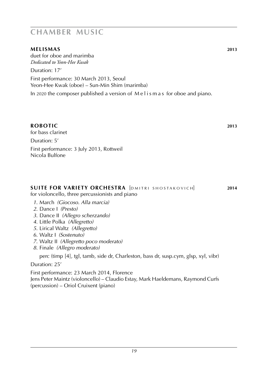#### **melismas 2013**

duet for oboe and marimba *Dedicated to Yeon-Hee Kwak*

Duration: 17'

First performance: 30 March 2013, Seoul Yeon-Hee Kwak (oboe) – Sun-Min Shim (marimba)

In 2020 the composer published a version of M e l i s m a s for oboe and piano.

#### **robotic 2013**

for bass clarinet Duration: 5'

First performance: 3 July 2013, Rottweil Nicola Bulfone

### **SUITE FOR VARIETY ORCHESTRA** [DMITRI SHOSTAKOVICH] 2014

for violoncello, three percussionists and piano

- *1*. March *(Giocoso. Alla marcia)*
- *2*. Dance I *(Presto)*
- *3*. Dance II *(Allegro scherzando)*
- *4*. Little Polka *(Allegretto)*
- *5*. Lirical Waltz *(Allegretto)*
- *6*. Waltz I *(Sostenuto)*
- *7*. Waltz II *(Allegretto poco moderato)*
- *8*. Finale *(Allegro moderato)*

perc (timp [4], tgl, tamb, side dr, Charleston, bass dr, susp.cym, glsp, xyl, vibr)

Duration: 25'

First performance: 23 March 2014, Florence Jens Peter Maintz (violoncello) – Claudio Estay, Mark Haeldemans, Raymond Curfs (percussion) – Oriol Cruixent (piano)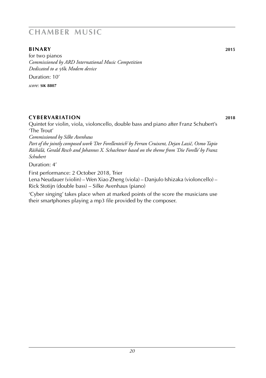#### **binary 2015**

for two pianos *Commissioned by ARD International Music Competition Dedicated to a* 56k *Modem device* Duration: 10' *score:* **sik 8807**

**cybervariation 2018**

Quintet for violin, viola, violoncello, double bass and piano after Franz Schubert's 'The Trout' *Commissioned by Silke Avenhaus Part of the jointly composed work 'Der Forellenteich' by Ferran Cruixent, Dejan Lazič, Osmo Tapio Räihälä, Gerald Resch and Johannes X. Schachtner based on the theme from 'Die Forelle' by Franz Schubert*

Duration: 4'

First performance: 2 October 2018, Trier Lena Neudauer (violin) – Wen Xiao Zheng (viola) – Danjulo Ishizaka (violoncello) – Rick Stotijn (double bass) – Silke Avenhaus (piano)

'Cyber singing' takes place when at marked points of the score the musicians use their smartphones playing a mp3 file provided by the composer.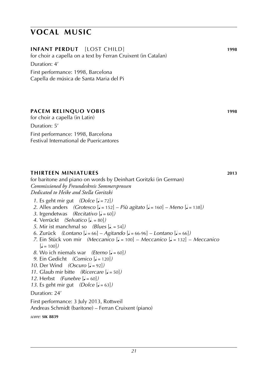### **vocal music**

| <b>INFANT PERDUT</b> [LOST CHILD]<br>for choir a capella on a text by Ferran Cruixent (in Catalan)               | 1998 |
|------------------------------------------------------------------------------------------------------------------|------|
| Duration: 4'                                                                                                     |      |
| First performance: 1998, Barcelona                                                                               |      |
| Capella de música de Santa Maria del Pi                                                                          |      |
|                                                                                                                  |      |
|                                                                                                                  |      |
|                                                                                                                  |      |
| <b>PACEM RELINQUO VOBIS</b><br>for choir a capella (in Latin)                                                    | 1998 |
| Duration: 5'                                                                                                     |      |
|                                                                                                                  |      |
| First performance: 1998, Barcelona<br>Festival International de Puericantores                                    |      |
|                                                                                                                  |      |
|                                                                                                                  |      |
|                                                                                                                  |      |
| <b>THIRTEEN MINIATURES</b>                                                                                       | 2013 |
| for baritone and piano on words by Deinhart Goritzki (in German)                                                 |      |
| Commissioned by Freundeskreis Sommersprossen                                                                     |      |
| Dedicated to Heike and Stella Goritzki                                                                           |      |
| 1. Es geht mir gut $(Dolce [J = 72])$                                                                            |      |
| 2. Alles anders (Grotesco [. = 152] – Più agitato [. = 160] – Meno [. = 138])                                    |      |
| 3. Irgendetwas (Recitativo $\lbrack \bullet = 60 \rbrack$ )<br>4. Verrückt (Selvatico [. = 80])                  |      |
| 5. Mir ist manchmal so $(Blues [J, = 54])$                                                                       |      |
| $\overline{z}$ and $\overline{u}$ are the set of $\overline{u}$ and $\overline{u}$ are the set of $\overline{u}$ |      |

- *6*. Zurück *(Lontano*  $\sqrt{a} = 66$ ] *Agitando*  $\sqrt{a} = 66.96$ ] *Lontano*  $\sqrt{a} = 66$ ]*) 7*. Ein Stück von mir *(Meccanico* [q = 100] – *Meccanico* [q = 132] – *Meccanico*
- $\left[ \right] = 100$ *)*
- *8*. Wo ich niemals war *(Eterno* [q = 60]*)*
- *9*. Ein Gedicht *(Comico*  $\left[ \right] = 120$ *)*
- *10*. Der Wind *(Oscuro*  $\left[ \frac{1}{2} = 92 \right]$ )
- *11*. Glaub mir bitte *(Ricercare*  $\left[ \right] = 50$ )
- *12.* Herbst *(Funebre*  $\left[ \right] = 60$ )
- *13*. Es geht mir gut  $(Dolce [J = 63])$

Duration: 24'

First performance: 3 July 2013, Rottweil Andreas Schmidt (baritone) – Ferran Cruixent (piano)

*score:* **sik 8839**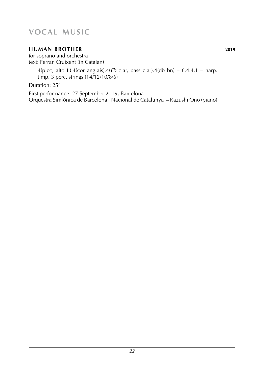### **vocal music**

#### **human brother 2019**

for soprano and orchestra text: Ferran Cruixent (in Catalan)

> 4(picc, alto fl).4(cor anglais).4(*Eb* clar, bass clar).4(db bn) –  $6.4.4.1$  – harp. timp. 3 perc. strings (14/12/10/8/6)

Duration: 25'

First performance: 27 September 2019, Barcelona Orquestra Simfònica de Barcelona i Nacional de Catalunya – Kazushi Ono (piano)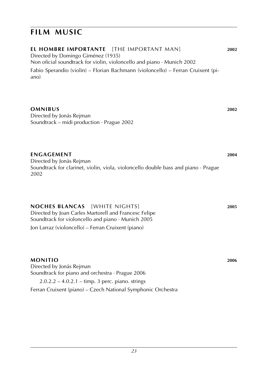### **film music**

ano)

**el hombre importante** [the important man] **2002** Directed by Domingo Giménez (1935) Non oficial soundtrack for violin, violoncello and piano · Munich 2002 Fabio Sperandio (violin) – Florian Bachmann (violoncello) – Ferran Cruixent (pi-

**omnibus 2002** Directed by Jonás Rejman Soundtrack – midi production · Prague 2002

**engagement 2004** Directed by Jonás Rejman Soundtrack for clarinet, violin, viola, violoncello double bass and piano · Prague 2002

**noches blancas** [white nights] **2005** Directed by Joan Carles Martorell and Francesc Felipe Soundtrack for violoncello and piano · Munich 2005 Jon Larraz (violoncello) – Ferran Cruixent (piano)

**Monitio 2006** Directed by Jonás Rejman Soundtrack for piano and orchestra · Prague 2006  $2.0.2.2 - 4.0.2.1 -$  timp. 3 perc. piano. strings Ferran Cruixent (piano) – Czech National Symphonic Orchestra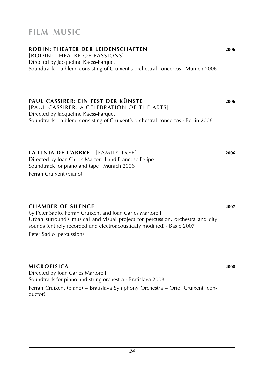### **film music**

### **rodin: theater der leidenschaften 2006**

[rodin: theatre of passions] Directed by Jacqueline Kaess-Farquet Soundtrack – a blend consisting of Cruixent's orchestral concertos  $\cdot$  Munich 2006

### **paul cassirer: ein fest der künste 2006**

[paul cassirer: a celebration of the arts] Directed by Jacqueline Kaess-Farquet Soundtrack – a blend consisting of Cruixent's orchestral concertos · Berlin 2006

**la linia de l'arbre** [Family tree] **2006** Directed by Joan Carles Martorell and Francesc Felipe Soundtrack for piano and tape · Munich 2006

Ferran Cruixent (piano)

#### **chamber of silence 2007**

by Peter Sadlo, Ferran Cruixent and Joan Carles Martorell Urban surround's musical and visual project for percussion, orchestra and city sounds (entirely recorded and electroacousticaly modified) · Basle 2007

Peter Sadlo (percussion)

#### **microfisica 2008**

Directed by Joan Carles Martorell Soundtrack for piano and string orchestra · Bratislava 2008 Ferran Cruixent (piano) – Bratislava Symphony Orchestra – Oriol Cruixent (conductor)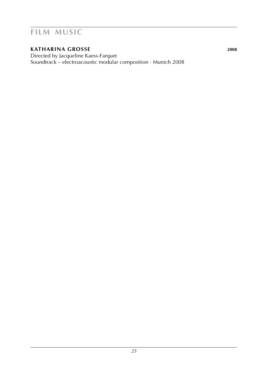### **film music**

#### **katharina grosse 2008**

Directed by Jacqueline Kaess-Farquet Soundtrack – electroacoustic modular composition · Munich 2008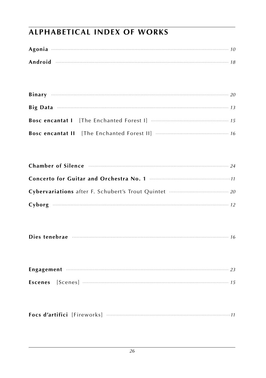### **ALPHABETICAL INDEX OF WORKS**

| Android |  |
|---------|--|

| <b>Big Data</b> $\cdots$ 73 |  |
|-----------------------------|--|
|                             |  |
|                             |  |

| Chamber of Silence <b>Example 24</b> 24 |  |
|-----------------------------------------|--|
|                                         |  |
|                                         |  |
|                                         |  |

| Dies tenebrae |  |  |  |
|---------------|--|--|--|
|---------------|--|--|--|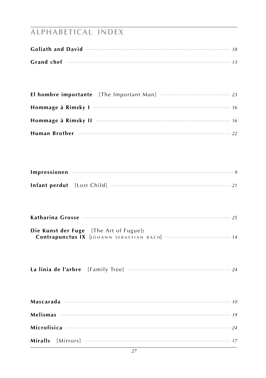## **ALPHABETICAL INDEX**

| Goliath and David <b>Example 20</b> 18 18 |  |
|-------------------------------------------|--|
|                                           |  |

| Hommage à Rimsky II <b>manual contract de la contract de la contract de la contract de la contract de la contract de la contract de la contract de la contract de la contract de la contract de la contract de la contract de la</b> |  |  |
|--------------------------------------------------------------------------------------------------------------------------------------------------------------------------------------------------------------------------------------|--|--|
| Human Brother manufactured and the contract of the contract of the contract of the contract of the contract of                                                                                                                       |  |  |

| Katharina Grosse <b>Material Accords</b> 25   |  |  |  |
|-----------------------------------------------|--|--|--|
| <b>Die Kunst der Fuge</b> [The Art of Fugue]: |  |  |  |
|                                               |  |  |  |

|--|--|--|--|

| Mascarada $\cdots$ 10 |  |
|-----------------------|--|
|                       |  |
|                       |  |
|                       |  |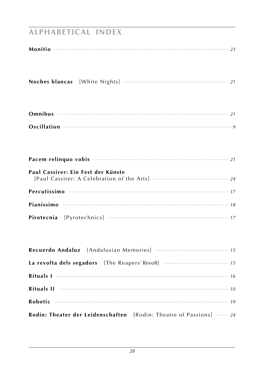### **ALPHABETICAL INDEX**

| Oscillation <b>continuum continuum continuum continuum continuum continuum continuum continuum continuum continuum continuum continuum continuum continuum continuum continuum continuum continuum continuum continuum continuum</b> |
|--------------------------------------------------------------------------------------------------------------------------------------------------------------------------------------------------------------------------------------|
| Pacem relinquo vobis <b>monumeno contra contra contra contra contra contra contra contra contra contra contra contra contra contra contra contra contra contra contra contra contra contra contra contra contra contra contra co</b> |
| Paul Cassirer: Ein Fest der Künste                                                                                                                                                                                                   |
|                                                                                                                                                                                                                                      |
|                                                                                                                                                                                                                                      |
|                                                                                                                                                                                                                                      |

| Rituals II <b>Exercise Constructs</b> 10                           |
|--------------------------------------------------------------------|
|                                                                    |
| Rodin: Theater der Leidenschaften [Rodin: Theatre of Passions]  24 |